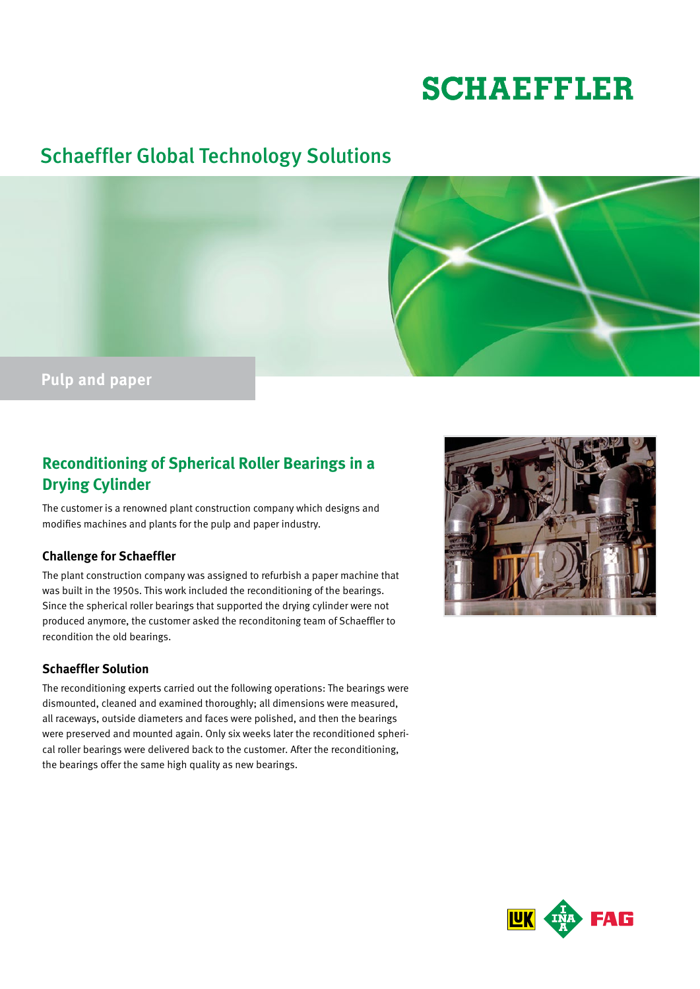# **SCHAEFFLER**

# Schaeffler Global Technology Solutions



# **Reconditioning of Spherical Roller Bearings in a Drying Cylinder**

The customer is a renowned plant construction company which designs and modifies machines and plants for the pulp and paper industry.

# **Challenge for Schaeffler**

The plant construction company was assigned to refurbish a paper machine that was built in the 1950s. This work included the reconditioning of the bearings. Since the spherical roller bearings that supported the drying cylinder were not produced anymore, the customer asked the reconditoning team of Schaeffler to recondition the old bearings.

# **Schaeffler Solution**

The reconditioning experts carried out the following operations: The bearings were dismounted, cleaned and examined thoroughly; all dimensions were measured, all raceways, outside diameters and faces were polished, and then the bearings were preserved and mounted again. Only six weeks later the reconditioned spherical roller bearings were delivered back to the customer. After the reconditioning, the bearings offer the same high quality as new bearings.